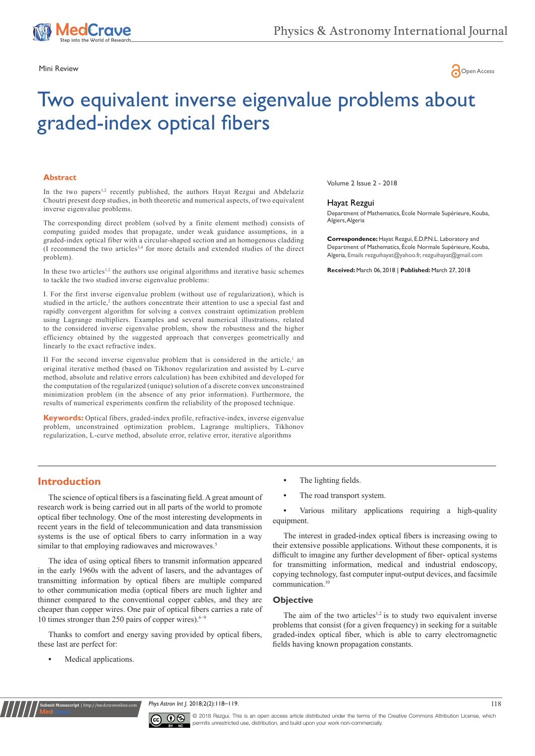



# Two equivalent inverse eigenvalue problems about graded-index optical fibers

## **Abstract**

In the two papers<sup>1,2</sup> recently published, the authors Hayat Rezgui and Abdelaziz Choutri present deep studies, in both theoretic and numerical aspects, of two equivalent inverse eigenvalue problems.

The corresponding direct problem (solved by a finite element method) consists of computing guided modes that propagate, under weak guidance assumptions, in a graded-index optical fiber with a circular-shaped section and an homogenous cladding (I recommend the two articles3,4 for more details and extended studies of the direct problem).

In these two articles<sup>1,2</sup> the authors use original algorithms and iterative basic schemes to tackle the two studied inverse eigenvalue problems:

I. For the first inverse eigenvalue problem (without use of regularization), which is studied in the article,<sup>2</sup> the authors concentrate their attention to use a special fast and rapidly convergent algorithm for solving a convex constraint optimization problem using Lagrange multipliers. Examples and several numerical illustrations, related to the considered inverse eigenvalue problem, show the robustness and the higher efficiency obtained by the suggested approach that converges geometrically and linearly to the exact refractive index.

II For the second inverse eigenvalue problem that is considered in the article, $<sup>1</sup>$  an</sup> original iterative method (based on Tikhonov regularization and assisted by L-curve method, absolute and relative errors calculation) has been exhibited and developed for the computation of the regularized (unique) solution of a discrete convex unconstrained minimization problem (in the absence of any prior information). Furthermore, the results of numerical experiments confirm the reliability of the proposed technique.

**Keywords:** Optical fibers, graded-index profile, refractive-index, inverse eigenvalue problem, unconstrained optimization problem, Lagrange multipliers, Tikhonov regularization, L-curve method, absolute error, relative error, iterative algorithms

Volume 2 Issue 2 - 2018

#### Hayat Rezgui

Department of Mathematics, École Normale Supérieure, Kouba, Algiers, Algeria

**Correspondence:** Hayat Rezgui, E.D.P.N.L. Laboratory and Department of Mathematics, École Normale Supérieure, Kouba, Algeria, Emails rezguihayat@yahoo.fr, rezguihayat@gmail.com

**Received:** March 06, 2018 | **Published:** March 27, 2018

# **Introduction**

The science of optical fibers is a fascinating field. A great amount of research work is being carried out in all parts of the world to promote optical fiber technology. One of the most interesting developments in recent years in the field of telecommunication and data transmission systems is the use of optical fibers to carry information in a way similar to that employing radiowaves and microwaves.<sup>5</sup>

The idea of using optical fibers to transmit information appeared in the early 1960s with the advent of lasers, and the advantages of transmitting information by optical fibers are multiple compared to other communication media (optical fibers are much lighter and thinner compared to the conventional copper cables, and they are cheaper than copper wires. One pair of optical fibers carries a rate of 10 times stronger than 250 pairs of copper wires).6−9

Thanks to comfort and energy saving provided by optical fibers, these last are perfect for:

**•** Medical applications.

**Nit Manuscript** | http://medcr

- **•** The lighting fields.
- The road transport system.

**•** Various military applications requiring a high-quality equipment.

The interest in graded-index optical fibers is increasing owing to their extensive possible applications. Without these components, it is difficult to imagine any further development of fiber- optical systems for transmitting information, medical and industrial endoscopy, copying technology, fast computer input-output devices, and facsimile communication.10

## **Objective**

The aim of the two articles<sup>1,2</sup> is to study two equivalent inverse problems that consist (for a given frequency) in seeking for a suitable graded-index optical fiber, which is able to carry electromagnetic fields having known propagation constants.

*Phys Astron Int J.* 2018;2(2):118–119.



© 2018 Rezgui. This is an open access article distributed under the terms of the [Creative Commons Attribution License,](https://creativecommons.org/licenses/by-nc/4.0/) which permits unrestricted use, distribution, and build upon your work non-commercially.